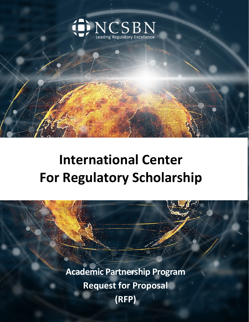

**International Center For Regulatory Scholarship**

> **Academic Partnership Program Request for Proposal (RFP)**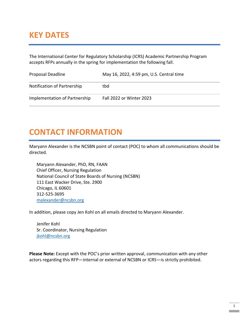## **KEY DATES**

The International Center for Regulatory Scholarship (ICRS) Academic Partnership Program accepts RFPs annually in the spring for implementation the following fall.

| Proposal Deadline             | May 16, 2022, 4:59 pm, U.S. Central time |
|-------------------------------|------------------------------------------|
| Notification of Partnership   | tbd                                      |
| Implementation of Partnership | Fall 2022 or Winter 2023                 |

## **CONTACT INFORMATION**

Maryann Alexander is the NCSBN point of contact (POC) to whom all communications should be directed.

Maryann Alexander, PhD, RN, FAAN Chief Officer, Nursing Regulation National Council of State Boards of Nursing (NCSBN) 111 East Wacker Drive, Ste. 2900 Chicago, IL 60601 312-525-3695 [malexander@ncsbn.org](mailto:malexander@ncsbn.org)

In addition, please copy Jen Kohl on all emails directed to Maryann Alexander.

Jenifer Kohl Sr. Coordinator, Nursing Regulation [jkohl@ncsbn.org](mailto:jkohl@ncsbn.org)

**Please Note:** Except with the POC's prior written approval, communication with any other actors regarding this RFP—internal or external of NCSBN or ICRS—is strictly prohibited.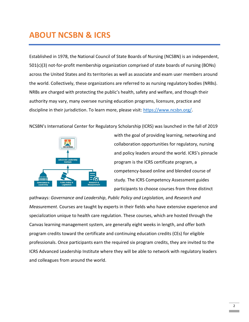# **ABOUT NCSBN & ICRS**

Established in 1978, the National Council of State Boards of Nursing (NCSBN) is an independent, 501(c)(3) not-for-profit membership organization comprised of state boards of nursing (BONs) across the United States and its territories as well as associate and exam user members around the world. Collectively, these organizations are referred to as nursing regulatory bodies (NRBs). NRBs are charged with protecting the public's health, safety and welfare, and though their authority may vary, many oversee nursing education programs, licensure, practice and discipline in their jurisdiction. To learn more, please visit: [https://www.ncsbn.org/.](https://www.ncsbn.org/)

NCSBN's International Center for Regulatory Scholarship (ICRS) was launched in the fall of 2019



with the goal of providing learning, networking and collaboration opportunities for regulatory, nursing and policy leaders around the world. ICRS's pinnacle program is the ICRS certificate program, a competency-based online and blended course of study. The ICRS Competency Assessment guides participants to choose courses from three distinct

pathways: *Governance and Leadership*, *Public Policy and Legislation,* and *Research and Measurement*. Courses are taught by experts in their fields who have extensive experience and specialization unique to health care regulation. These courses, which are hosted through the Canvas learning management system, are generally eight weeks in length, and offer both program credits toward the certificate and continuing education credits (CEs) for eligible professionals. Once participants earn the required six program credits, they are invited to the ICRS Advanced Leadership Institute where they will be able to network with regulatory leaders and colleagues from around the world.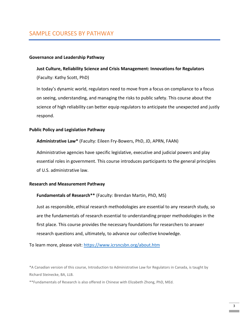### SAMPLE COURSES BY PATHWAY

#### **Governance and Leadership Pathway**

#### **Just Culture, Reliability Science and Crisis Management: Innovations for Regulators**

(Faculty: Kathy Scott, PhD)

In today's dynamic world, regulators need to move from a focus on compliance to a focus on seeing, understanding, and managing the risks to public safety. This course about the science of high reliability can better equip regulators to anticipate the unexpected and justly respond.

#### **Public Policy and Legislation Pathway**

**Administrative Law\*** (Faculty: Eileen Fry-Bowers, PhD, JD, APRN, FAAN)

Administrative agencies have specific legislative, executive and judicial powers and play essential roles in government. This course introduces participants to the general principles of U.S. administrative law.

### **Research and Measurement Pathway**

#### **Fundamentals of Research\*\*** (Faculty: Brendan Martin, PhD, MS)

Just as responsible, ethical research methodologies are essential to any research study, so are the fundamentals of research essential to understanding proper methodologies in the first place. This course provides the necessary foundations for researchers to answer research questions and, ultimately, to advance our collective knowledge.

To learn more, please visit: <https://www.icrsncsbn.org/about.htm>

\*A Canadian version of this course, Introduction to Administrative Law for Regulators in Canada, is taught by Richard Steinecke, BA, LLB.

\*\*Fundamentals of Research is also offered in Chinese with Elizabeth Zhong, PhD, MEd.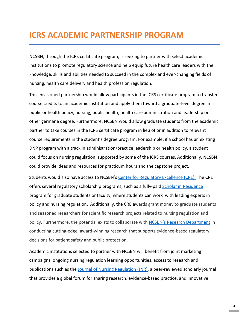### **ICRS ACADEMIC PARTNERSHIP PROGRAM**

NCSBN, through the ICRS certificate program, is seeking to partner with select academic institutions to promote regulatory science and help equip future health care leaders with the knowledge, skills and abilities needed to succeed in the complex and ever-changing fields of nursing, health care delivery and health profession regulation.

This envisioned partnership would allow participants in the ICRS certificate program to transfer course credits to an academic institution and apply them toward a graduate-level degree in public or health policy, nursing, public health, health care administration and leadership or other germane degree. Furthermore, NCSBN would allow graduate students from the academic partner to take courses in the ICRS certificate program in lieu of or in addition to relevant course requirements in the student's degree program. For example, if a school has an existing DNP program with a track in administration/practice leadership or health policy, a student could focus on nursing regulation, supported by some of the ICRS courses. Additionally, NCSBN could provide ideas and resources for practicum hours and the capstone project.

Students would also have access to NCSBN's [Center for Regulatory Excellence \(CRE\).](https://www.ncsbn.org/center-for-regulatory-excellence.htm) The CRE offers several regulatory scholarship programs, such as a fully-paid [Scholar in Residence](https://www.ncsbn.org/regulatory-scholars.htm#10079) program for graduate students or faculty, where students can work with leading experts in policy and nursing regulation. Additionally, the CRE awards grant money to graduate students and seasoned researchers for scientific research projects related to nursing regulation and policy. Furthermore, the potential exists to collaborate with NCSBN's [Research Department](https://www.ncsbn.org/research.htm) in conducting cutting-edge, award-winning research that supports evidence-based regulatory decisions for patient safety and public protection.

Academic institutions selected to partner with NCSBN will benefit from joint marketing campaigns, ongoing nursing regulation learning opportunities, access to research and publications such as the [Journal of Nursing Regulation \(JNR\),](https://www.journalofnursingregulation.com/) a peer-reviewed scholarly journal that provides a global forum for sharing research, evidence-based practice, and innovative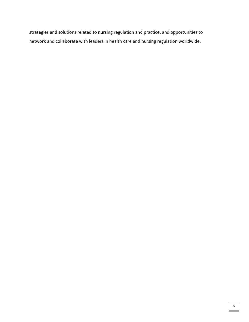strategies and solutions related to nursing regulation and practice, and opportunities to network and collaborate with leaders in health care and nursing regulation worldwide.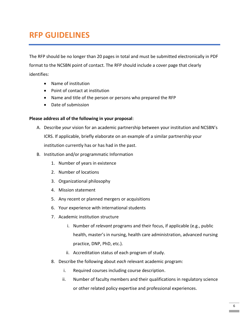# **RFP GUIDELINES**

The RFP should be no longer than 20 pages in total and must be submitted electronically in PDF format to the NCSBN point of contact. The RFP should include a cover page that clearly identifies:

- Name of institution
- Point of contact at institution
- Name and title of the person or persons who prepared the RFP
- Date of submission

### **Please address all of the following in your proposal**:

- A. Describe *your* vision for an academic partnership between your institution and NCSBN's ICRS. If applicable, briefly elaborate on an example of a similar partnership your institution currently has or has had in the past.
- B. Institution and/or programmatic Information
	- 1. Number of years in existence
	- 2. Number of locations
	- 3. Organizational philosophy
	- 4. Mission statement
	- 5. Any recent or planned mergers or acquisitions
	- 6. Your experience with international students
	- 7. Academic institution structure
		- i. Number of *relevant* programs and their focus, if applicable (e.g., public health, master's in nursing, health care administration, advanced nursing practice, DNP, PhD, etc.).
		- ii. Accreditation status of each program of study.
	- 8. Describe the following about *each* relevant academic program:
		- i. Required courses including course description.
		- ii. Number of faculty members and their qualifications in regulatory science or other related policy expertise and professional experiences.